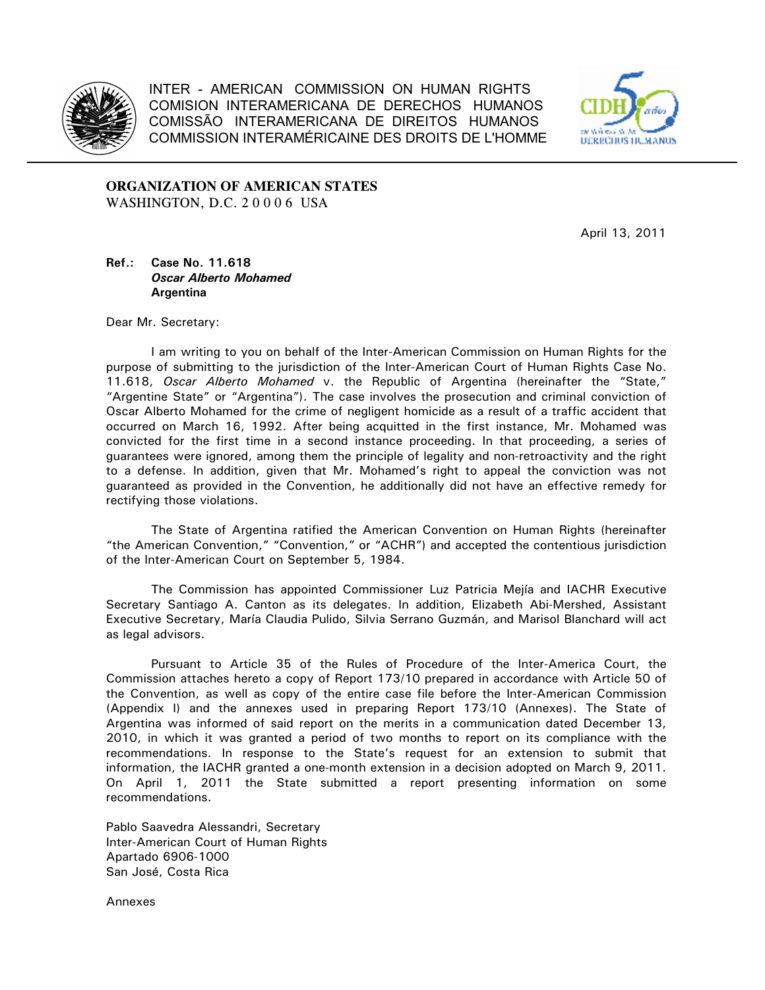

INTER - AMERICAN COMMISSION ON HUMAN RIGHTS COMISION INTERAMERICANA DE DERECHOS HUMANOS COMISSÃO INTERAMERICANA DE DIREITOS HUMANOS COMMISSION INTERAMÉRICAINE DES DROITS DE L'HOMME



**ORGANIZATION OF AMERICAN STATES**  WASHINGTON, D.C. 2 0 0 0 6 USA

April 13, 2011

## **Ref.: Case No. 11.618** *Oscar Alberto Mohamed*   **Argentina**

Dear Mr. Secretary:

I am writing to you on behalf of the Inter-American Commission on Human Rights for the purpose of submitting to the jurisdiction of the Inter-American Court of Human Rights Case No. 11.618, *Oscar Alberto Mohamed* v. the Republic of Argentina (hereinafter the "State," "Argentine State" or "Argentina"). The case involves the prosecution and criminal conviction of Oscar Alberto Mohamed for the crime of negligent homicide as a result of a traffic accident that occurred on March 16, 1992. After being acquitted in the first instance, Mr. Mohamed was convicted for the first time in a second instance proceeding. In that proceeding, a series of guarantees were ignored, among them the principle of legality and non-retroactivity and the right to a defense. In addition, given that Mr. Mohamed's right to appeal the conviction was not guaranteed as provided in the Convention, he additionally did not have an effective remedy for rectifying those violations.

The State of Argentina ratified the American Convention on Human Rights (hereinafter "the American Convention," "Convention," or "ACHR") and accepted the contentious jurisdiction of the Inter-American Court on September 5, 1984.

The Commission has appointed Commissioner Luz Patricia Mejía and IACHR Executive Secretary Santiago A. Canton as its delegates. In addition, Elizabeth Abi-Mershed, Assistant Executive Secretary, María Claudia Pulido, Silvia Serrano Guzmán, and Marisol Blanchard will act as legal advisors.

Pursuant to Article 35 of the Rules of Procedure of the Inter-America Court, the Commission attaches hereto a copy of Report 173/10 prepared in accordance with Article 50 of the Convention, as well as copy of the entire case file before the Inter-American Commission (Appendix I) and the annexes used in preparing Report 173/10 (Annexes). The State of Argentina was informed of said report on the merits in a communication dated December 13, 2010, in which it was granted a period of two months to report on its compliance with the recommendations. In response to the State's request for an extension to submit that information, the IACHR granted a one-month extension in a decision adopted on March 9, 2011. On April 1, 2011 the State submitted a report presenting information on some recommendations.

Pablo Saavedra Alessandri, Secretary Inter-American Court of Human Rights Apartado 6906-1000 San José, Costa Rica

Annexes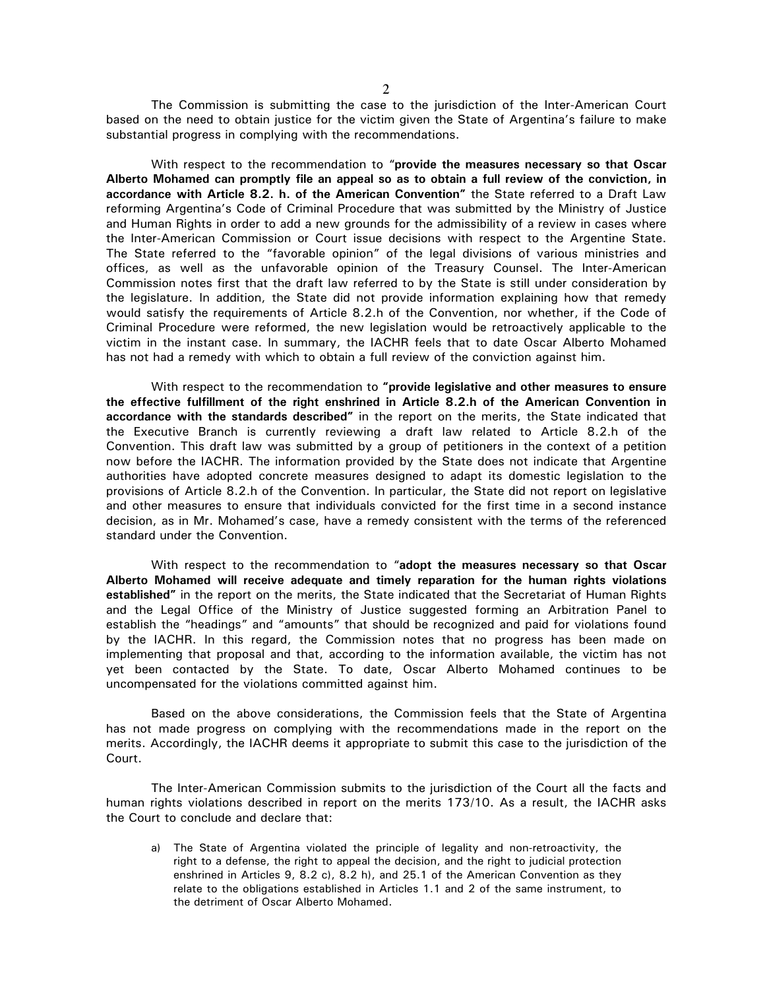The Commission is submitting the case to the jurisdiction of the Inter-American Court based on the need to obtain justice for the victim given the State of Argentina's failure to make substantial progress in complying with the recommendations.

With respect to the recommendation to "**provide the measures necessary so that Oscar Alberto Mohamed can promptly file an appeal so as to obtain a full review of the conviction, in accordance with Article 8.2. h. of the American Convention"** the State referred to a Draft Law reforming Argentina's Code of Criminal Procedure that was submitted by the Ministry of Justice and Human Rights in order to add a new grounds for the admissibility of a review in cases where the Inter-American Commission or Court issue decisions with respect to the Argentine State. The State referred to the "favorable opinion" of the legal divisions of various ministries and offices, as well as the unfavorable opinion of the Treasury Counsel. The Inter-American Commission notes first that the draft law referred to by the State is still under consideration by the legislature. In addition, the State did not provide information explaining how that remedy would satisfy the requirements of Article 8.2.h of the Convention, nor whether, if the Code of Criminal Procedure were reformed, the new legislation would be retroactively applicable to the victim in the instant case. In summary, the IACHR feels that to date Oscar Alberto Mohamed has not had a remedy with which to obtain a full review of the conviction against him.

With respect to the recommendation to **"provide legislative and other measures to ensure the effective fulfillment of the right enshrined in Article 8.2.h of the American Convention in accordance with the standards described"** in the report on the merits, the State indicated that the Executive Branch is currently reviewing a draft law related to Article 8.2.h of the Convention. This draft law was submitted by a group of petitioners in the context of a petition now before the IACHR. The information provided by the State does not indicate that Argentine authorities have adopted concrete measures designed to adapt its domestic legislation to the provisions of Article 8.2.h of the Convention. In particular, the State did not report on legislative and other measures to ensure that individuals convicted for the first time in a second instance decision, as in Mr. Mohamed's case, have a remedy consistent with the terms of the referenced standard under the Convention.

With respect to the recommendation to "**adopt the measures necessary so that Oscar Alberto Mohamed will receive adequate and timely reparation for the human rights violations established"** in the report on the merits, the State indicated that the Secretariat of Human Rights and the Legal Office of the Ministry of Justice suggested forming an Arbitration Panel to establish the "headings" and "amounts" that should be recognized and paid for violations found by the IACHR. In this regard, the Commission notes that no progress has been made on implementing that proposal and that, according to the information available, the victim has not yet been contacted by the State. To date, Oscar Alberto Mohamed continues to be uncompensated for the violations committed against him.

Based on the above considerations, the Commission feels that the State of Argentina has not made progress on complying with the recommendations made in the report on the merits. Accordingly, the IACHR deems it appropriate to submit this case to the jurisdiction of the Court.

The Inter-American Commission submits to the jurisdiction of the Court all the facts and human rights violations described in report on the merits 173/10. As a result, the IACHR asks the Court to conclude and declare that:

a) The State of Argentina violated the principle of legality and non-retroactivity, the right to a defense, the right to appeal the decision, and the right to judicial protection enshrined in Articles 9, 8.2 c), 8.2 h), and 25.1 of the American Convention as they relate to the obligations established in Articles 1.1 and 2 of the same instrument, to the detriment of Oscar Alberto Mohamed.